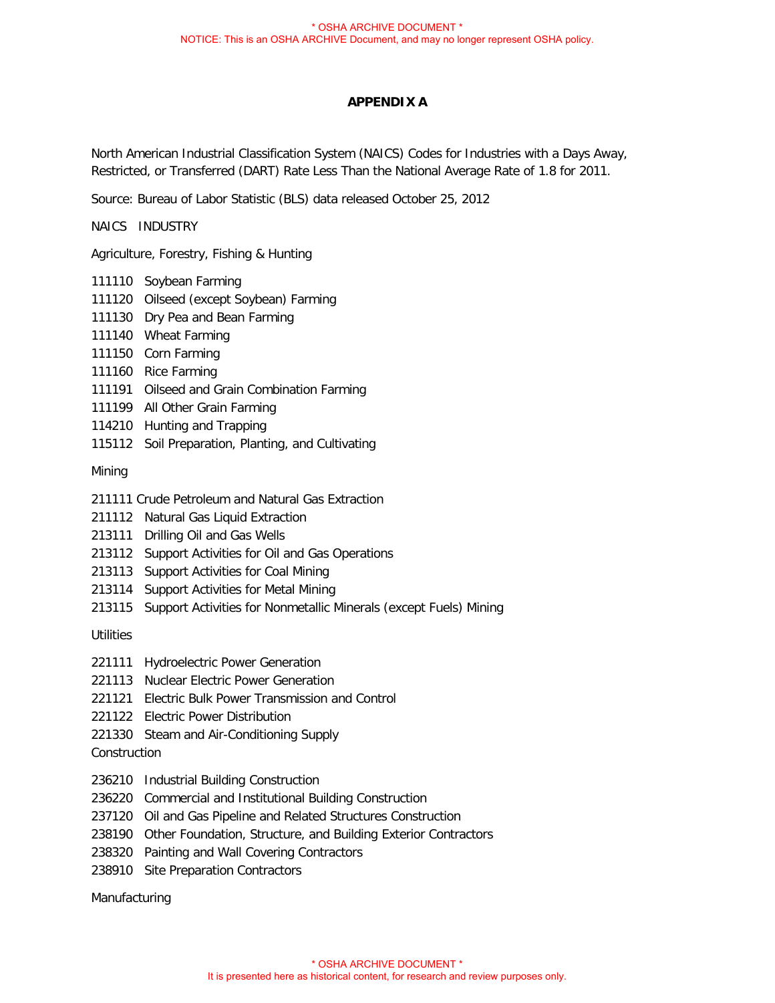# **APPENDIX A**

North American Industrial Classification System (NAICS) Codes for Industries with a Days Away, Restricted, or Transferred (DART) Rate Less Than the National Average Rate of 1.8 for 2011.

Source: Bureau of Labor Statistic (BLS) data released October 25, 2012

NAICS INDUSTRY

Agriculture, Forestry, Fishing & Hunting

- 111110 Soybean Farming
- 111120 Oilseed (except Soybean) Farming
- 111130 Dry Pea and Bean Farming
- 111140 Wheat Farming
- 111150 Corn Farming
- 111160 Rice Farming
- 111191 Oilseed and Grain Combination Farming
- 111199 All Other Grain Farming
- 114210 Hunting and Trapping
- 115112 Soil Preparation, Planting, and Cultivating

# Mining

- 211111 Crude Petroleum and Natural Gas Extraction
- 211112 Natural Gas Liquid Extraction
- 213111 Drilling Oil and Gas Wells
- 213112 Support Activities for Oil and Gas Operations
- 213113 Support Activities for Coal Mining
- 213114 Support Activities for Metal Mining
- 213115 Support Activities for Nonmetallic Minerals (except Fuels) Mining

# **Utilities**

- 221111 Hydroelectric Power Generation
- 221113 Nuclear Electric Power Generation
- 221121 Electric Bulk Power Transmission and Control
- 221122 Electric Power Distribution
- 221330 Steam and Air-Conditioning Supply
- Construction
- 236210 Industrial Building Construction
- 236220 Commercial and Institutional Building Construction
- 237120 Oil and Gas Pipeline and Related Structures Construction
- 238190 Other Foundation, Structure, and Building Exterior Contractors
- 238320 Painting and Wall Covering Contractors
- 238910 Site Preparation Contractors

Manufacturing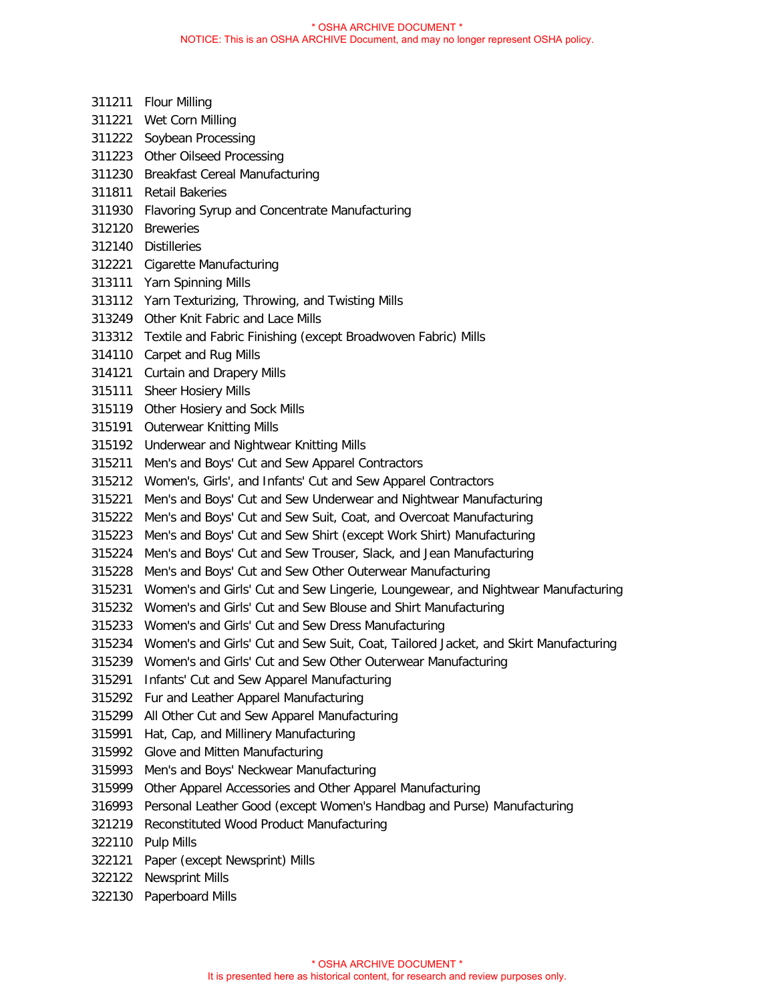311211 Flour Milling 311221 Wet Corn Milling 311222 Soybean Processing 311223 Other Oilseed Processing 311230 Breakfast Cereal Manufacturing 311811 Retail Bakeries 311930 Flavoring Syrup and Concentrate Manufacturing 312120 Breweries 312140 Distilleries 312221 Cigarette Manufacturing 313111 Yarn Spinning Mills 313112 Yarn Texturizing, Throwing, and Twisting Mills 313249 Other Knit Fabric and Lace Mills 313312 Textile and Fabric Finishing (except Broadwoven Fabric) Mills 314110 Carpet and Rug Mills 314121 Curtain and Drapery Mills 315111 Sheer Hosiery Mills 315119 Other Hosiery and Sock Mills 315191 Outerwear Knitting Mills 315192 Underwear and Nightwear Knitting Mills 315211 Men's and Boys' Cut and Sew Apparel Contractors 315212 Women's, Girls', and Infants' Cut and Sew Apparel Contractors 315221 Men's and Boys' Cut and Sew Underwear and Nightwear Manufacturing 315222 Men's and Boys' Cut and Sew Suit, Coat, and Overcoat Manufacturing 315223 Men's and Boys' Cut and Sew Shirt (except Work Shirt) Manufacturing 315224 Men's and Boys' Cut and Sew Trouser, Slack, and Jean Manufacturing 315228 Men's and Boys' Cut and Sew Other Outerwear Manufacturing 315231 Women's and Girls' Cut and Sew Lingerie, Loungewear, and Nightwear Manufacturing 315232 Women's and Girls' Cut and Sew Blouse and Shirt Manufacturing 315233 Women's and Girls' Cut and Sew Dress Manufacturing 315234 Women's and Girls' Cut and Sew Suit, Coat, Tailored Jacket, and Skirt Manufacturing 315239 Women's and Girls' Cut and Sew Other Outerwear Manufacturing 315291 Infants' Cut and Sew Apparel Manufacturing 315292 Fur and Leather Apparel Manufacturing 315299 All Other Cut and Sew Apparel Manufacturing 315991 Hat, Cap, and Millinery Manufacturing 315992 Glove and Mitten Manufacturing 315993 Men's and Boys' Neckwear Manufacturing 315999 Other Apparel Accessories and Other Apparel Manufacturing 316993 Personal Leather Good (except Women's Handbag and Purse) Manufacturing 321219 Reconstituted Wood Product Manufacturing 322110 Pulp Mills 322121 Paper (except Newsprint) Mills 322122 Newsprint Mills 322130 Paperboard Mills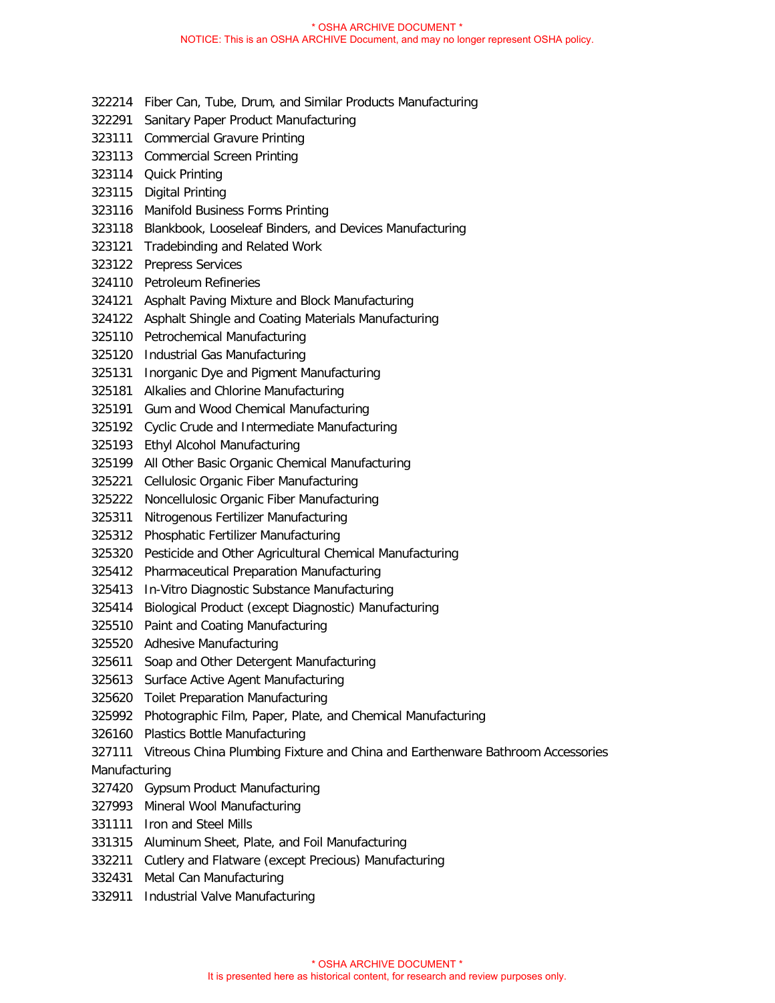- 322214 Fiber Can, Tube, Drum, and Similar Products Manufacturing
- 322291 Sanitary Paper Product Manufacturing
- 323111 Commercial Gravure Printing
- 323113 Commercial Screen Printing
- 323114 Quick Printing
- 323115 Digital Printing
- 323116 Manifold Business Forms Printing
- 323118 Blankbook, Looseleaf Binders, and Devices Manufacturing
- 323121 Tradebinding and Related Work
- 323122 Prepress Services
- 324110 Petroleum Refineries
- 324121 Asphalt Paving Mixture and Block Manufacturing
- 324122 Asphalt Shingle and Coating Materials Manufacturing
- 325110 Petrochemical Manufacturing
- 325120 Industrial Gas Manufacturing
- 325131 Inorganic Dye and Pigment Manufacturing
- 325181 Alkalies and Chlorine Manufacturing
- 325191 Gum and Wood Chemical Manufacturing
- 325192 Cyclic Crude and Intermediate Manufacturing
- 325193 Ethyl Alcohol Manufacturing
- 325199 All Other Basic Organic Chemical Manufacturing
- 325221 Cellulosic Organic Fiber Manufacturing
- 325222 Noncellulosic Organic Fiber Manufacturing
- 325311 Nitrogenous Fertilizer Manufacturing
- 325312 Phosphatic Fertilizer Manufacturing
- 325320 Pesticide and Other Agricultural Chemical Manufacturing
- 325412 Pharmaceutical Preparation Manufacturing
- 325413 In-Vitro Diagnostic Substance Manufacturing
- 325414 Biological Product (except Diagnostic) Manufacturing
- 325510 Paint and Coating Manufacturing
- 325520 Adhesive Manufacturing
- 325611 Soap and Other Detergent Manufacturing
- 325613 Surface Active Agent Manufacturing
- 325620 Toilet Preparation Manufacturing
- 325992 Photographic Film, Paper, Plate, and Chemical Manufacturing
- 326160 Plastics Bottle Manufacturing
- 327111 Vitreous China Plumbing Fixture and China and Earthenware Bathroom Accessories
- Manufacturing
- 327420 Gypsum Product Manufacturing
- 327993 Mineral Wool Manufacturing
- 331111 Iron and Steel Mills
- 331315 Aluminum Sheet, Plate, and Foil Manufacturing
- 332211 Cutlery and Flatware (except Precious) Manufacturing
- 332431 Metal Can Manufacturing
- 332911 Industrial Valve Manufacturing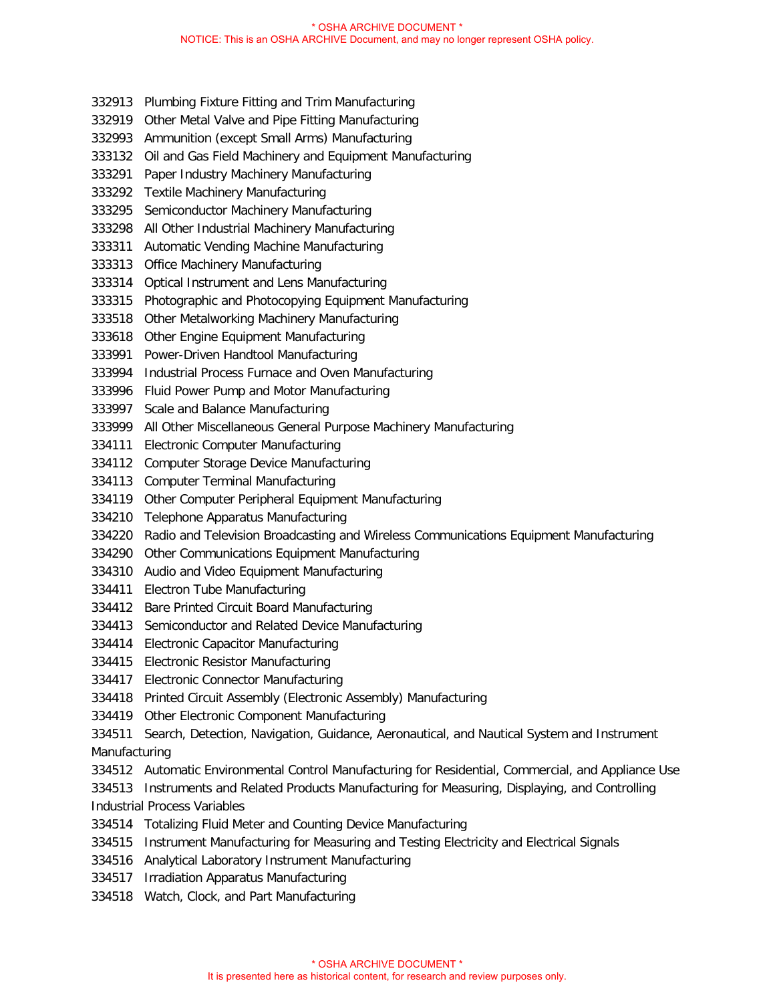- 332913 Plumbing Fixture Fitting and Trim Manufacturing
- 332919 Other Metal Valve and Pipe Fitting Manufacturing
- 332993 Ammunition (except Small Arms) Manufacturing
- 333132 Oil and Gas Field Machinery and Equipment Manufacturing
- 333291 Paper Industry Machinery Manufacturing
- 333292 Textile Machinery Manufacturing
- 333295 Semiconductor Machinery Manufacturing
- 333298 All Other Industrial Machinery Manufacturing
- 333311 Automatic Vending Machine Manufacturing
- 333313 Office Machinery Manufacturing
- 333314 Optical Instrument and Lens Manufacturing
- 333315 Photographic and Photocopying Equipment Manufacturing
- 333518 Other Metalworking Machinery Manufacturing
- 333618 Other Engine Equipment Manufacturing
- 333991 Power-Driven Handtool Manufacturing
- 333994 Industrial Process Furnace and Oven Manufacturing
- 333996 Fluid Power Pump and Motor Manufacturing
- 333997 Scale and Balance Manufacturing
- 333999 All Other Miscellaneous General Purpose Machinery Manufacturing
- 334111 Electronic Computer Manufacturing
- 334112 Computer Storage Device Manufacturing
- 334113 Computer Terminal Manufacturing
- 334119 Other Computer Peripheral Equipment Manufacturing
- 334210 Telephone Apparatus Manufacturing
- 334220 Radio and Television Broadcasting and Wireless Communications Equipment Manufacturing
- 334290 Other Communications Equipment Manufacturing
- 334310 Audio and Video Equipment Manufacturing
- 334411 Electron Tube Manufacturing
- 334412 Bare Printed Circuit Board Manufacturing
- 334413 Semiconductor and Related Device Manufacturing
- 334414 Electronic Capacitor Manufacturing
- 334415 Electronic Resistor Manufacturing
- 334417 Electronic Connector Manufacturing
- 334418 Printed Circuit Assembly (Electronic Assembly) Manufacturing
- 334419 Other Electronic Component Manufacturing
- 334511 Search, Detection, Navigation, Guidance, Aeronautical, and Nautical System and Instrument Manufacturing
- 334512 Automatic Environmental Control Manufacturing for Residential, Commercial, and Appliance Use
- 334513 Instruments and Related Products Manufacturing for Measuring, Displaying, and Controlling Industrial Process Variables
- 334514 Totalizing Fluid Meter and Counting Device Manufacturing
- 334515 Instrument Manufacturing for Measuring and Testing Electricity and Electrical Signals
- 334516 Analytical Laboratory Instrument Manufacturing
- 334517 Irradiation Apparatus Manufacturing
- 334518 Watch, Clock, and Part Manufacturing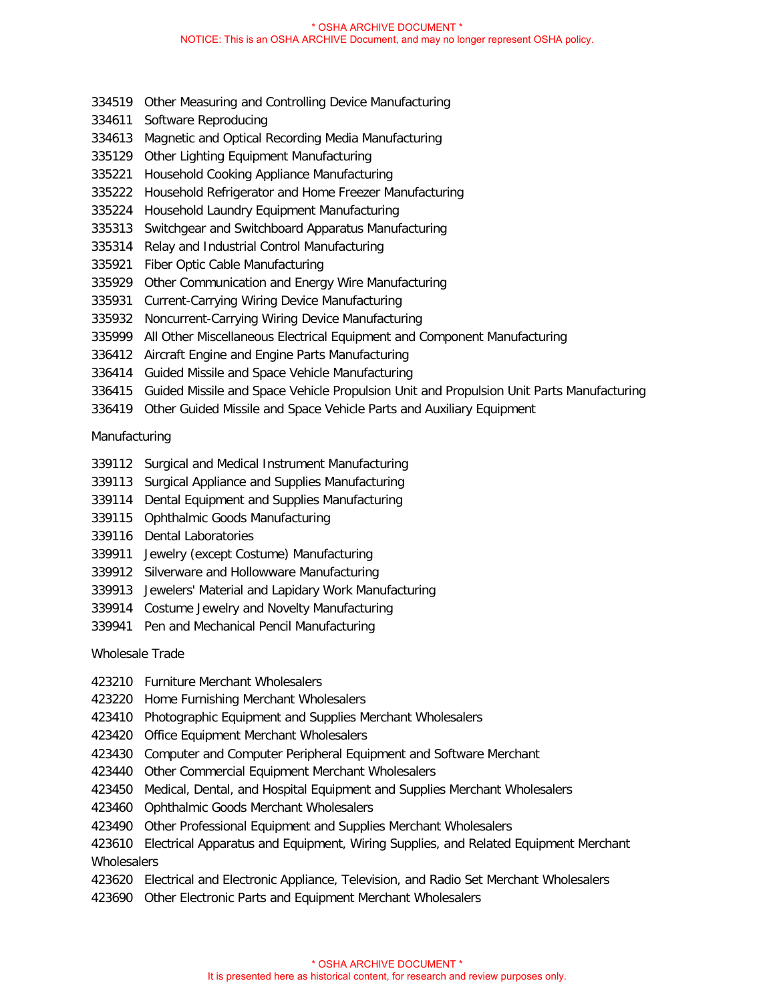- 334519 Other Measuring and Controlling Device Manufacturing
- 334611 Software Reproducing
- 334613 Magnetic and Optical Recording Media Manufacturing
- 335129 Other Lighting Equipment Manufacturing
- 335221 Household Cooking Appliance Manufacturing
- 335222 Household Refrigerator and Home Freezer Manufacturing
- 335224 Household Laundry Equipment Manufacturing
- 335313 Switchgear and Switchboard Apparatus Manufacturing
- 335314 Relay and Industrial Control Manufacturing
- 335921 Fiber Optic Cable Manufacturing
- 335929 Other Communication and Energy Wire Manufacturing
- 335931 Current-Carrying Wiring Device Manufacturing
- 335932 Noncurrent-Carrying Wiring Device Manufacturing
- 335999 All Other Miscellaneous Electrical Equipment and Component Manufacturing
- 336412 Aircraft Engine and Engine Parts Manufacturing
- 336414 Guided Missile and Space Vehicle Manufacturing
- 336415 Guided Missile and Space Vehicle Propulsion Unit and Propulsion Unit Parts Manufacturing
- 336419 Other Guided Missile and Space Vehicle Parts and Auxiliary Equipment

# Manufacturing

- 339112 Surgical and Medical Instrument Manufacturing
- 339113 Surgical Appliance and Supplies Manufacturing
- 339114 Dental Equipment and Supplies Manufacturing
- 339115 Ophthalmic Goods Manufacturing
- 339116 Dental Laboratories
- 339911 Jewelry (except Costume) Manufacturing
- 339912 Silverware and Hollowware Manufacturing
- 339913 Jewelers' Material and Lapidary Work Manufacturing
- 339914 Costume Jewelry and Novelty Manufacturing
- 339941 Pen and Mechanical Pencil Manufacturing

Wholesale Trade

- 423210 Furniture Merchant Wholesalers
- 423220 Home Furnishing Merchant Wholesalers
- 423410 Photographic Equipment and Supplies Merchant Wholesalers
- 423420 Office Equipment Merchant Wholesalers
- 423430 Computer and Computer Peripheral Equipment and Software Merchant
- 423440 Other Commercial Equipment Merchant Wholesalers
- 423450 Medical, Dental, and Hospital Equipment and Supplies Merchant Wholesalers
- 423460 Ophthalmic Goods Merchant Wholesalers
- 423490 Other Professional Equipment and Supplies Merchant Wholesalers
- 423610 Electrical Apparatus and Equipment, Wiring Supplies, and Related Equipment Merchant **Wholesalers**
- 423620 Electrical and Electronic Appliance, Television, and Radio Set Merchant Wholesalers
- 423690 Other Electronic Parts and Equipment Merchant Wholesalers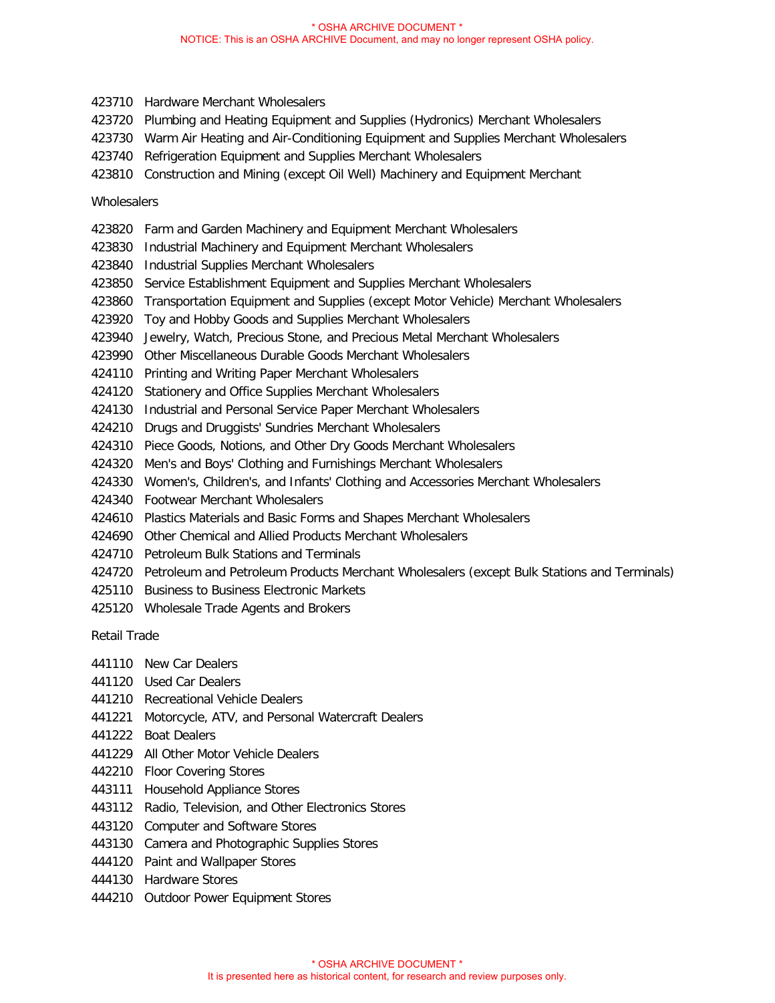- 423710 Hardware Merchant Wholesalers
- 423720 Plumbing and Heating Equipment and Supplies (Hydronics) Merchant Wholesalers
- 423730 Warm Air Heating and Air-Conditioning Equipment and Supplies Merchant Wholesalers
- 423740 Refrigeration Equipment and Supplies Merchant Wholesalers
- 423810 Construction and Mining (except Oil Well) Machinery and Equipment Merchant

# **Wholesalers**

- 423820 Farm and Garden Machinery and Equipment Merchant Wholesalers
- 423830 Industrial Machinery and Equipment Merchant Wholesalers
- 423840 Industrial Supplies Merchant Wholesalers
- 423850 Service Establishment Equipment and Supplies Merchant Wholesalers
- 423860 Transportation Equipment and Supplies (except Motor Vehicle) Merchant Wholesalers
- 423920 Toy and Hobby Goods and Supplies Merchant Wholesalers
- 423940 Jewelry, Watch, Precious Stone, and Precious Metal Merchant Wholesalers
- 423990 Other Miscellaneous Durable Goods Merchant Wholesalers
- 424110 Printing and Writing Paper Merchant Wholesalers
- 424120 Stationery and Office Supplies Merchant Wholesalers
- 424130 Industrial and Personal Service Paper Merchant Wholesalers
- 424210 Drugs and Druggists' Sundries Merchant Wholesalers
- 424310 Piece Goods, Notions, and Other Dry Goods Merchant Wholesalers
- 424320 Men's and Boys' Clothing and Furnishings Merchant Wholesalers
- 424330 Women's, Children's, and Infants' Clothing and Accessories Merchant Wholesalers
- 424340 Footwear Merchant Wholesalers
- 424610 Plastics Materials and Basic Forms and Shapes Merchant Wholesalers
- 424690 Other Chemical and Allied Products Merchant Wholesalers
- 424710 Petroleum Bulk Stations and Terminals
- 424720 Petroleum and Petroleum Products Merchant Wholesalers (except Bulk Stations and Terminals)
- 425110 Business to Business Electronic Markets
- 425120 Wholesale Trade Agents and Brokers

# Retail Trade

- 441110 New Car Dealers
- 441120 Used Car Dealers
- 441210 Recreational Vehicle Dealers
- 441221 Motorcycle, ATV, and Personal Watercraft Dealers
- 441222 Boat Dealers
- 441229 All Other Motor Vehicle Dealers
- 442210 Floor Covering Stores
- 443111 Household Appliance Stores
- 443112 Radio, Television, and Other Electronics Stores
- 443120 Computer and Software Stores
- 443130 Camera and Photographic Supplies Stores
- 444120 Paint and Wallpaper Stores
- 444130 Hardware Stores
- 444210 Outdoor Power Equipment Stores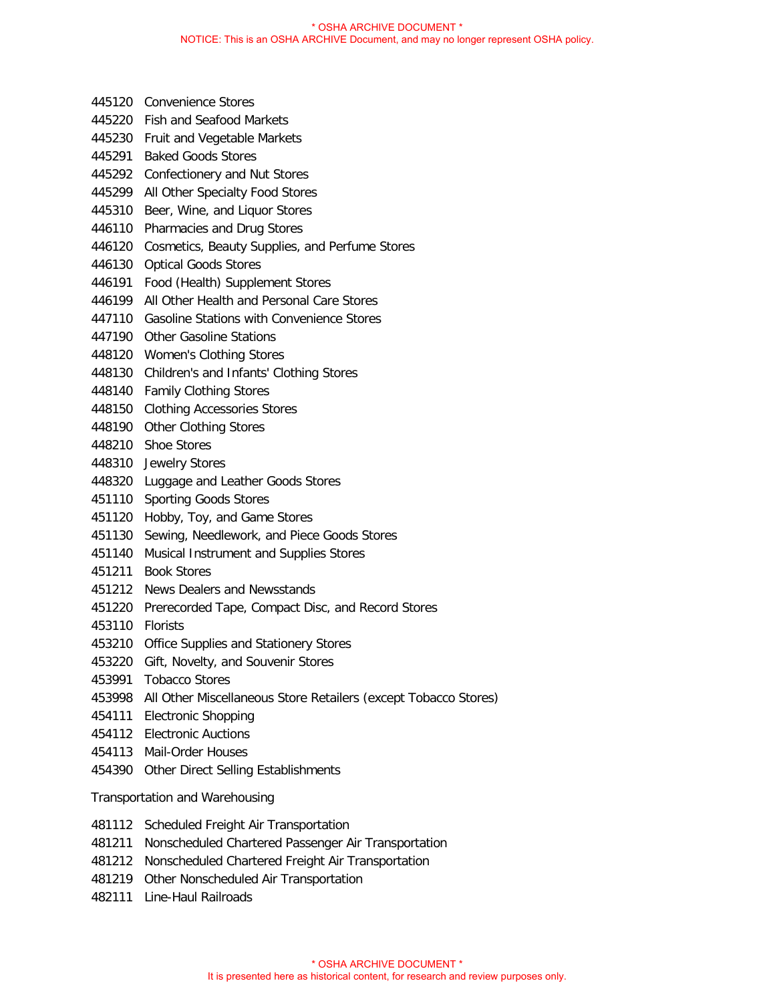- 445120 Convenience Stores
- 445220 Fish and Seafood Markets
- 445230 Fruit and Vegetable Markets
- 445291 Baked Goods Stores
- 445292 Confectionery and Nut Stores
- 445299 All Other Specialty Food Stores
- 445310 Beer, Wine, and Liquor Stores
- 446110 Pharmacies and Drug Stores
- 446120 Cosmetics, Beauty Supplies, and Perfume Stores
- 446130 Optical Goods Stores
- 446191 Food (Health) Supplement Stores
- 446199 All Other Health and Personal Care Stores
- 447110 Gasoline Stations with Convenience Stores
- 447190 Other Gasoline Stations
- 448120 Women's Clothing Stores
- 448130 Children's and Infants' Clothing Stores
- 448140 Family Clothing Stores
- 448150 Clothing Accessories Stores
- 448190 Other Clothing Stores
- 448210 Shoe Stores
- 448310 Jewelry Stores
- 448320 Luggage and Leather Goods Stores
- 451110 Sporting Goods Stores
- 451120 Hobby, Toy, and Game Stores
- 451130 Sewing, Needlework, and Piece Goods Stores
- 451140 Musical Instrument and Supplies Stores
- 451211 Book Stores
- 451212 News Dealers and Newsstands
- 451220 Prerecorded Tape, Compact Disc, and Record Stores
- 453110 Florists
- 453210 Office Supplies and Stationery Stores
- 453220 Gift, Novelty, and Souvenir Stores
- 453991 Tobacco Stores
- 453998 All Other Miscellaneous Store Retailers (except Tobacco Stores)
- 454111 Electronic Shopping
- 454112 Electronic Auctions
- 454113 Mail-Order Houses
- 454390 Other Direct Selling Establishments

Transportation and Warehousing

- 481112 Scheduled Freight Air Transportation
- 481211 Nonscheduled Chartered Passenger Air Transportation
- 481212 Nonscheduled Chartered Freight Air Transportation
- 481219 Other Nonscheduled Air Transportation
- 482111 Line-Haul Railroads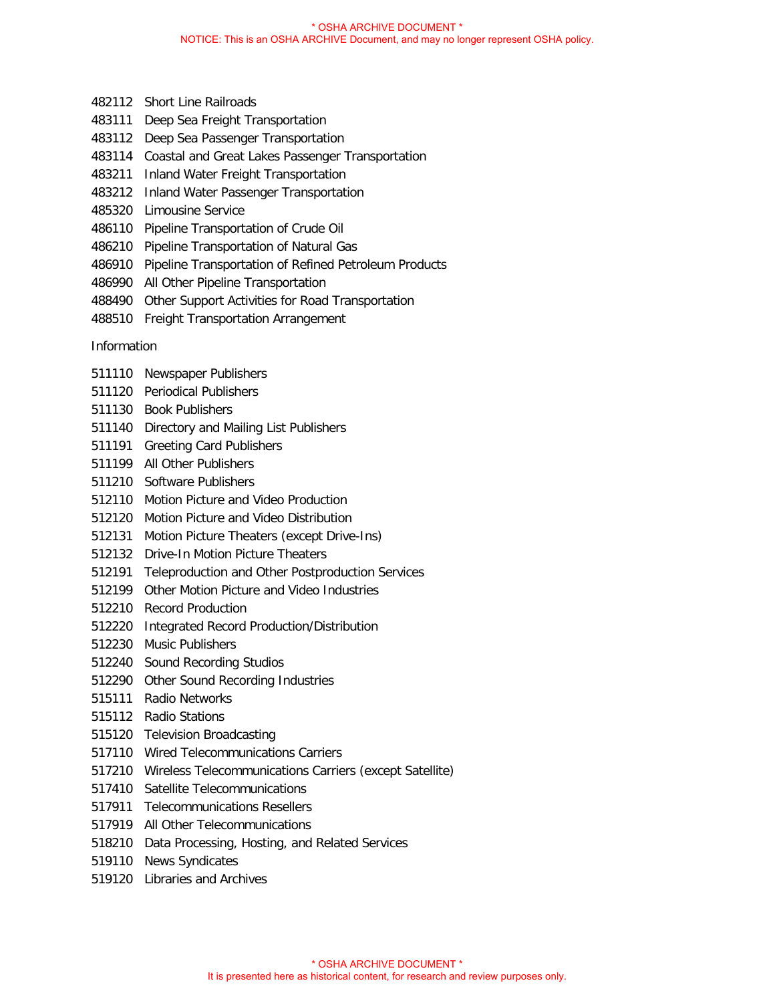- 482112 Short Line Railroads
- 483111 Deep Sea Freight Transportation
- 483112 Deep Sea Passenger Transportation
- 483114 Coastal and Great Lakes Passenger Transportation
- 483211 Inland Water Freight Transportation
- 483212 Inland Water Passenger Transportation
- 485320 Limousine Service
- 486110 Pipeline Transportation of Crude Oil
- 486210 Pipeline Transportation of Natural Gas
- 486910 Pipeline Transportation of Refined Petroleum Products
- 486990 All Other Pipeline Transportation
- 488490 Other Support Activities for Road Transportation
- 488510 Freight Transportation Arrangement

#### Information

- 511110 Newspaper Publishers
- 511120 Periodical Publishers
- 511130 Book Publishers
- 511140 Directory and Mailing List Publishers
- 511191 Greeting Card Publishers
- 511199 All Other Publishers
- 511210 Software Publishers
- 512110 Motion Picture and Video Production
- 512120 Motion Picture and Video Distribution
- 512131 Motion Picture Theaters (except Drive-Ins)
- 512132 Drive-In Motion Picture Theaters
- 512191 Teleproduction and Other Postproduction Services
- 512199 Other Motion Picture and Video Industries
- 512210 Record Production
- 512220 Integrated Record Production/Distribution
- 512230 Music Publishers
- 512240 Sound Recording Studios
- 512290 Other Sound Recording Industries
- 515111 Radio Networks
- 515112 Radio Stations
- 515120 Television Broadcasting
- 517110 Wired Telecommunications Carriers
- 517210 Wireless Telecommunications Carriers (except Satellite)
- 517410 Satellite Telecommunications
- 517911 Telecommunications Resellers
- 517919 All Other Telecommunications
- 518210 Data Processing, Hosting, and Related Services
- 519110 News Syndicates
- 519120 Libraries and Archives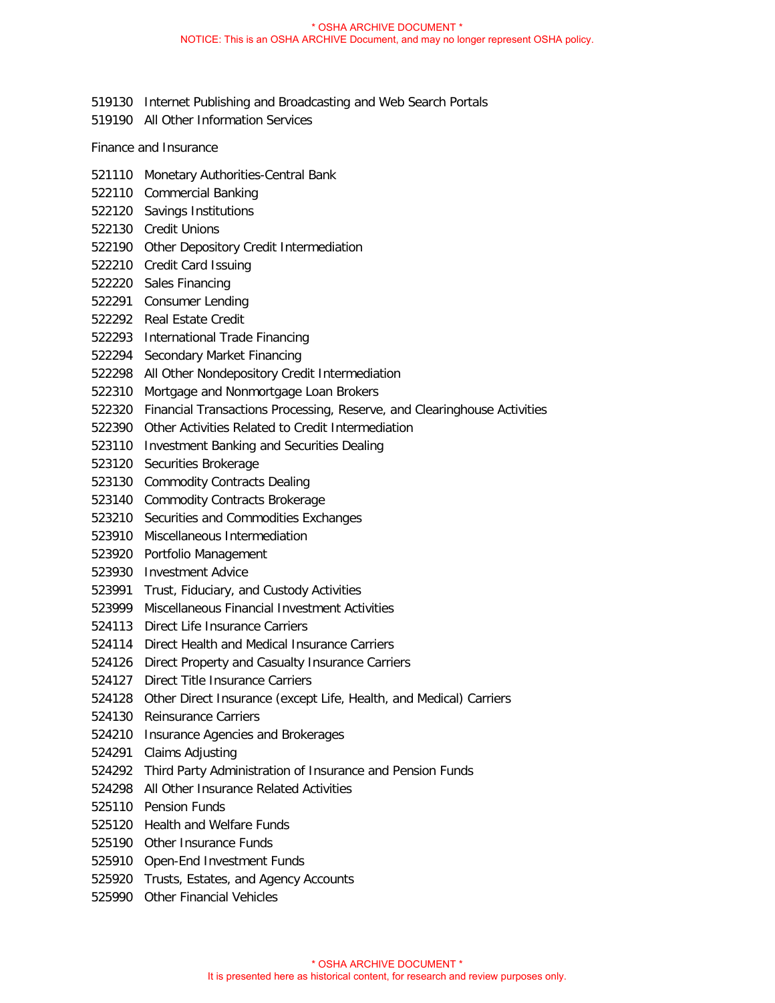- 519130 Internet Publishing and Broadcasting and Web Search Portals
- 519190 All Other Information Services

Finance and Insurance

- 521110 Monetary Authorities-Central Bank
- 522110 Commercial Banking
- 522120 Savings Institutions
- 522130 Credit Unions
- 522190 Other Depository Credit Intermediation
- 522210 Credit Card Issuing
- 522220 Sales Financing
- 522291 Consumer Lending
- 522292 Real Estate Credit
- 522293 International Trade Financing
- 522294 Secondary Market Financing
- 522298 All Other Nondepository Credit Intermediation
- 522310 Mortgage and Nonmortgage Loan Brokers
- 522320 Financial Transactions Processing, Reserve, and Clearinghouse Activities
- 522390 Other Activities Related to Credit Intermediation
- 523110 Investment Banking and Securities Dealing
- 523120 Securities Brokerage
- 523130 Commodity Contracts Dealing
- 523140 Commodity Contracts Brokerage
- 523210 Securities and Commodities Exchanges
- 523910 Miscellaneous Intermediation
- 523920 Portfolio Management
- 523930 Investment Advice
- 523991 Trust, Fiduciary, and Custody Activities
- 523999 Miscellaneous Financial Investment Activities
- 524113 Direct Life Insurance Carriers
- 524114 Direct Health and Medical Insurance Carriers
- 524126 Direct Property and Casualty Insurance Carriers
- 524127 Direct Title Insurance Carriers
- 524128 Other Direct Insurance (except Life, Health, and Medical) Carriers
- 524130 Reinsurance Carriers
- 524210 Insurance Agencies and Brokerages
- 524291 Claims Adjusting
- 524292 Third Party Administration of Insurance and Pension Funds
- 524298 All Other Insurance Related Activities
- 525110 Pension Funds
- 525120 Health and Welfare Funds
- 525190 Other Insurance Funds
- 525910 Open-End Investment Funds
- 525920 Trusts, Estates, and Agency Accounts
- 525990 Other Financial Vehicles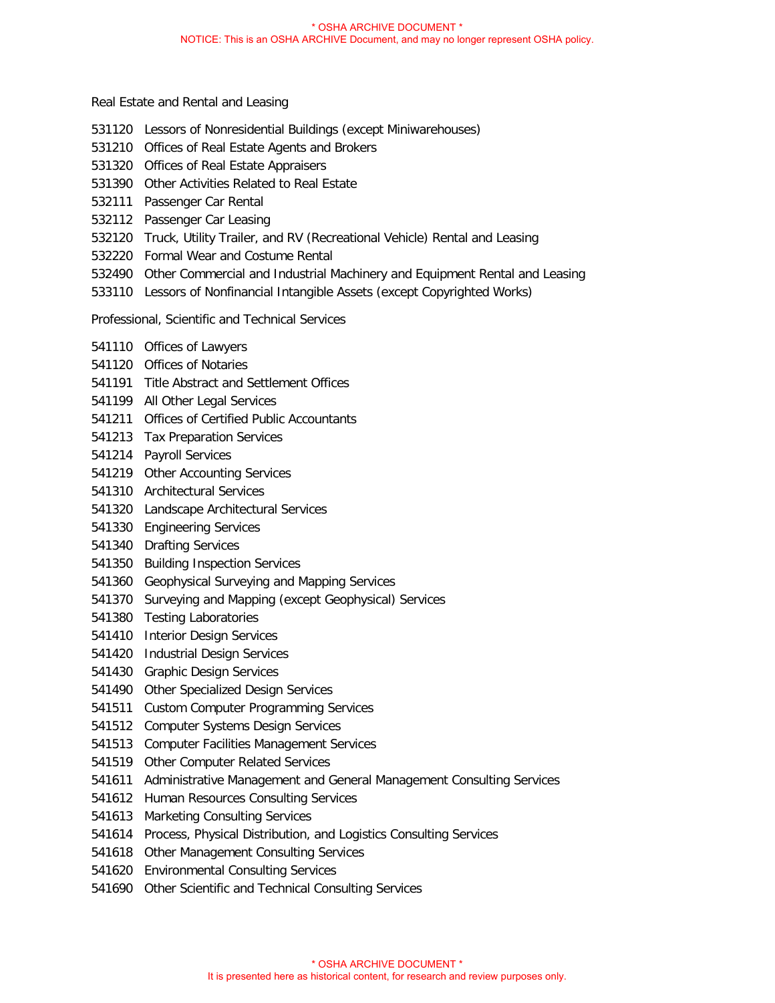Real Estate and Rental and Leasing

- 531120 Lessors of Nonresidential Buildings (except Miniwarehouses)
- 531210 Offices of Real Estate Agents and Brokers
- 531320 Offices of Real Estate Appraisers
- 531390 Other Activities Related to Real Estate
- 532111 Passenger Car Rental
- 532112 Passenger Car Leasing
- 532120 Truck, Utility Trailer, and RV (Recreational Vehicle) Rental and Leasing
- 532220 Formal Wear and Costume Rental
- 532490 Other Commercial and Industrial Machinery and Equipment Rental and Leasing
- 533110 Lessors of Nonfinancial Intangible Assets (except Copyrighted Works)

Professional, Scientific and Technical Services

- 541110 Offices of Lawyers
- 541120 Offices of Notaries
- 541191 Title Abstract and Settlement Offices
- 541199 All Other Legal Services
- 541211 Offices of Certified Public Accountants
- 541213 Tax Preparation Services
- 541214 Payroll Services
- 541219 Other Accounting Services
- 541310 Architectural Services
- 541320 Landscape Architectural Services
- 541330 Engineering Services
- 541340 Drafting Services
- 541350 Building Inspection Services
- 541360 Geophysical Surveying and Mapping Services
- 541370 Surveying and Mapping (except Geophysical) Services
- 541380 Testing Laboratories
- 541410 Interior Design Services
- 541420 Industrial Design Services
- 541430 Graphic Design Services
- 541490 Other Specialized Design Services
- 541511 Custom Computer Programming Services
- 541512 Computer Systems Design Services
- 541513 Computer Facilities Management Services
- 541519 Other Computer Related Services
- 541611 Administrative Management and General Management Consulting Services
- 541612 Human Resources Consulting Services
- 541613 Marketing Consulting Services
- 541614 Process, Physical Distribution, and Logistics Consulting Services
- 541618 Other Management Consulting Services
- 541620 Environmental Consulting Services
- 541690 Other Scientific and Technical Consulting Services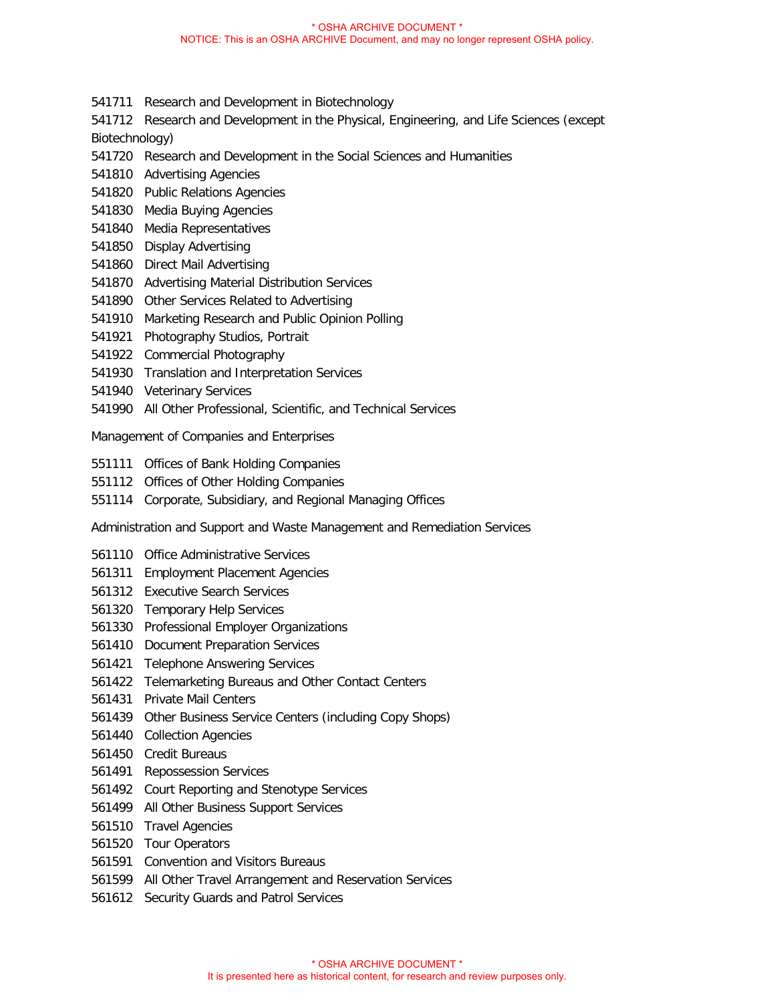541711 Research and Development in Biotechnology

541712 Research and Development in the Physical, Engineering, and Life Sciences (except Biotechnology)

- 541720 Research and Development in the Social Sciences and Humanities
- 541810 Advertising Agencies
- 541820 Public Relations Agencies
- 541830 Media Buying Agencies
- 541840 Media Representatives
- 541850 Display Advertising
- 541860 Direct Mail Advertising
- 541870 Advertising Material Distribution Services
- 541890 Other Services Related to Advertising
- 541910 Marketing Research and Public Opinion Polling
- 541921 Photography Studios, Portrait
- 541922 Commercial Photography
- 541930 Translation and Interpretation Services
- 541940 Veterinary Services
- 541990 All Other Professional, Scientific, and Technical Services

Management of Companies and Enterprises

- 551111 Offices of Bank Holding Companies
- 551112 Offices of Other Holding Companies
- 551114 Corporate, Subsidiary, and Regional Managing Offices

Administration and Support and Waste Management and Remediation Services

- 561110 Office Administrative Services
- 561311 Employment Placement Agencies
- 561312 Executive Search Services
- 561320 Temporary Help Services
- 561330 Professional Employer Organizations
- 561410 Document Preparation Services
- 561421 Telephone Answering Services
- 561422 Telemarketing Bureaus and Other Contact Centers
- 561431 Private Mail Centers
- 561439 Other Business Service Centers (including Copy Shops)
- 561440 Collection Agencies
- 561450 Credit Bureaus
- 561491 Repossession Services
- 561492 Court Reporting and Stenotype Services
- 561499 All Other Business Support Services
- 561510 Travel Agencies
- 561520 Tour Operators
- 561591 Convention and Visitors Bureaus
- 561599 All Other Travel Arrangement and Reservation Services
- 561612 Security Guards and Patrol Services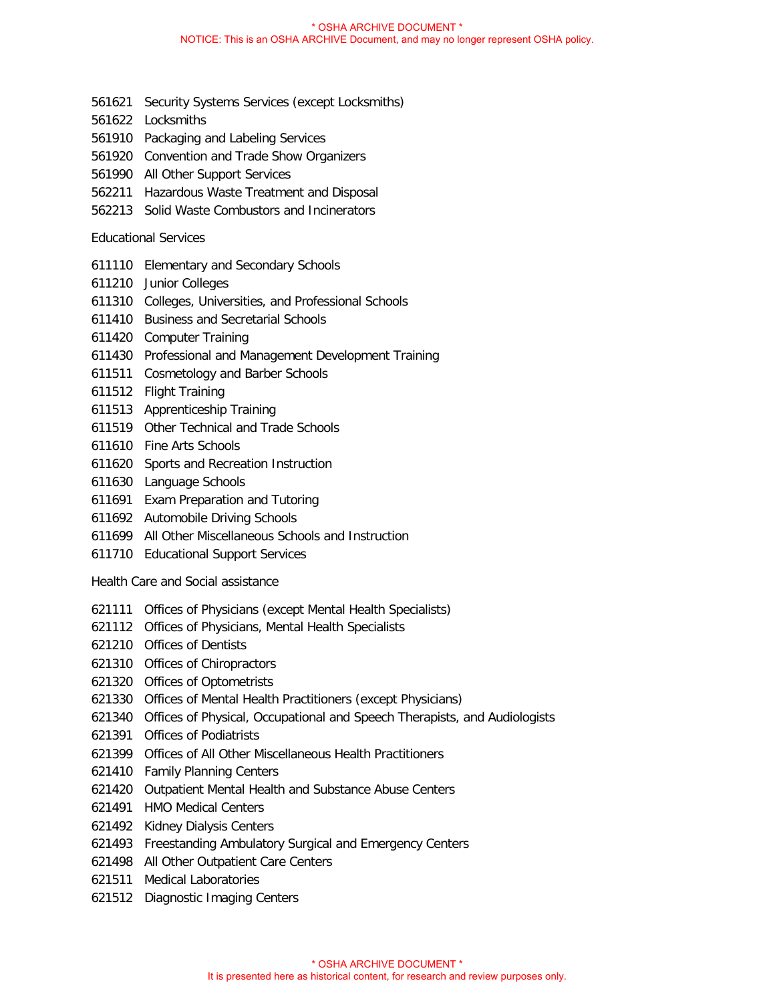- 561621 Security Systems Services (except Locksmiths)
- 561622 Locksmiths
- 561910 Packaging and Labeling Services
- 561920 Convention and Trade Show Organizers
- 561990 All Other Support Services
- 562211 Hazardous Waste Treatment and Disposal
- 562213 Solid Waste Combustors and Incinerators

Educational Services

- 611110 Elementary and Secondary Schools
- 611210 Junior Colleges
- 611310 Colleges, Universities, and Professional Schools
- 611410 Business and Secretarial Schools
- 611420 Computer Training
- 611430 Professional and Management Development Training
- 611511 Cosmetology and Barber Schools
- 611512 Flight Training
- 611513 Apprenticeship Training
- 611519 Other Technical and Trade Schools
- 611610 Fine Arts Schools
- 611620 Sports and Recreation Instruction
- 611630 Language Schools
- 611691 Exam Preparation and Tutoring
- 611692 Automobile Driving Schools
- 611699 All Other Miscellaneous Schools and Instruction
- 611710 Educational Support Services

Health Care and Social assistance

- 621111 Offices of Physicians (except Mental Health Specialists)
- 621112 Offices of Physicians, Mental Health Specialists
- 621210 Offices of Dentists
- 621310 Offices of Chiropractors
- 621320 Offices of Optometrists
- 621330 Offices of Mental Health Practitioners (except Physicians)
- 621340 Offices of Physical, Occupational and Speech Therapists, and Audiologists
- 621391 Offices of Podiatrists
- 621399 Offices of All Other Miscellaneous Health Practitioners
- 621410 Family Planning Centers
- 621420 Outpatient Mental Health and Substance Abuse Centers
- 621491 HMO Medical Centers
- 621492 Kidney Dialysis Centers
- 621493 Freestanding Ambulatory Surgical and Emergency Centers
- 621498 All Other Outpatient Care Centers
- 621511 Medical Laboratories
- 621512 Diagnostic Imaging Centers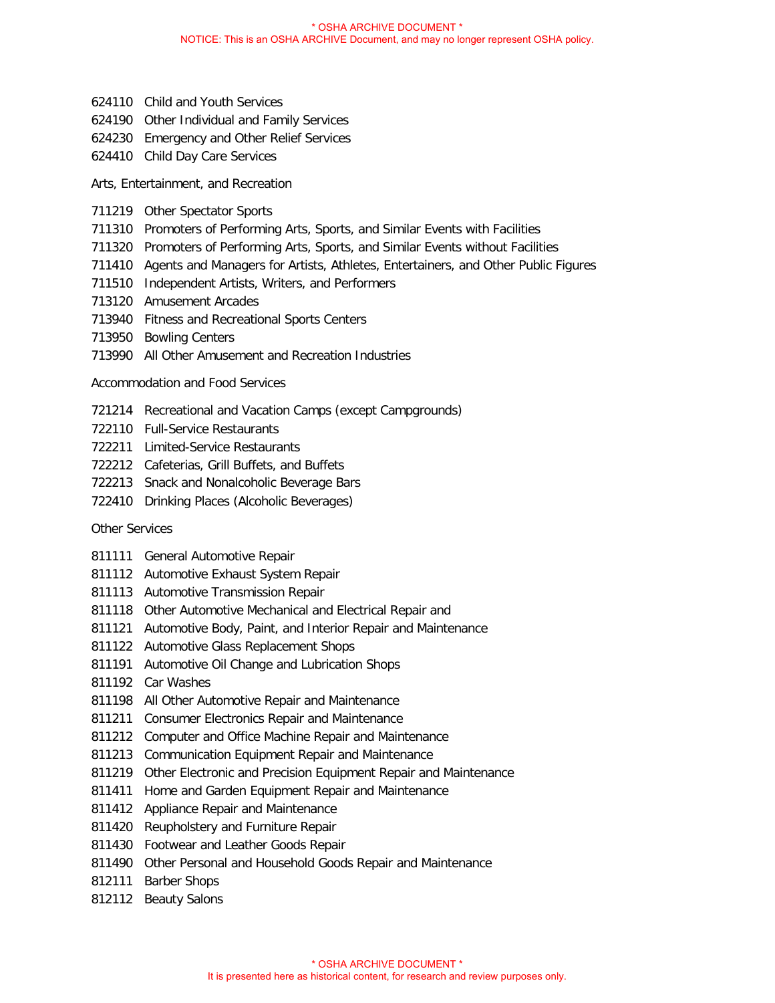- 624110 Child and Youth Services
- 624190 Other Individual and Family Services
- 624230 Emergency and Other Relief Services
- 624410 Child Day Care Services

Arts, Entertainment, and Recreation

- 711219 Other Spectator Sports
- 711310 Promoters of Performing Arts, Sports, and Similar Events with Facilities
- 711320 Promoters of Performing Arts, Sports, and Similar Events without Facilities
- 711410 Agents and Managers for Artists, Athletes, Entertainers, and Other Public Figures
- 711510 Independent Artists, Writers, and Performers
- 713120 Amusement Arcades
- 713940 Fitness and Recreational Sports Centers
- 713950 Bowling Centers
- 713990 All Other Amusement and Recreation Industries

# Accommodation and Food Services

- 721214 Recreational and Vacation Camps (except Campgrounds)
- 722110 Full-Service Restaurants
- 722211 Limited-Service Restaurants
- 722212 Cafeterias, Grill Buffets, and Buffets
- 722213 Snack and Nonalcoholic Beverage Bars
- 722410 Drinking Places (Alcoholic Beverages)

### Other Services

- 811111 General Automotive Repair
- 811112 Automotive Exhaust System Repair
- 811113 Automotive Transmission Repair
- 811118 Other Automotive Mechanical and Electrical Repair and
- 811121 Automotive Body, Paint, and Interior Repair and Maintenance
- 811122 Automotive Glass Replacement Shops
- 811191 Automotive Oil Change and Lubrication Shops
- 811192 Car Washes
- 811198 All Other Automotive Repair and Maintenance
- 811211 Consumer Electronics Repair and Maintenance
- 811212 Computer and Office Machine Repair and Maintenance
- 811213 Communication Equipment Repair and Maintenance
- 811219 Other Electronic and Precision Equipment Repair and Maintenance
- 811411 Home and Garden Equipment Repair and Maintenance
- 811412 Appliance Repair and Maintenance
- 811420 Reupholstery and Furniture Repair
- 811430 Footwear and Leather Goods Repair
- 811490 Other Personal and Household Goods Repair and Maintenance
- 812111 Barber Shops
- 812112 Beauty Salons